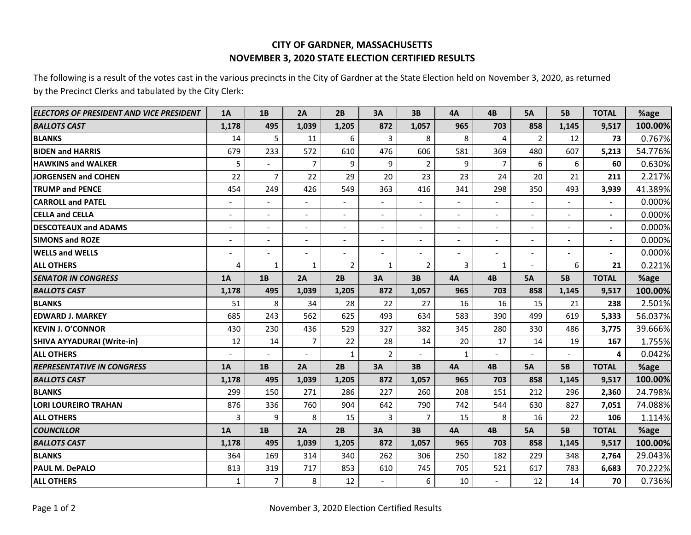## **CITY OF GARDNER, MASSACHUSETTS NOVEMBER 3, 2020 STATE ELECTION CERTIFIED RESULTS**

The following is a result of the votes cast in the various precincts in the City of Gardner at the State Election held on November 3, 2020, as returned by the Precinct Clerks and tabulated by the City Clerk:

| ELECTORS OF PRESIDENT AND VICE PRESIDENT | <b>1A</b>                | 1B                       | 2A                       | 2B                       | 3A                       | 3B                       | <b>4A</b>                | 4B                       | <b>5A</b>                | <b>5B</b>                | <b>TOTAL</b>             | %age    |
|------------------------------------------|--------------------------|--------------------------|--------------------------|--------------------------|--------------------------|--------------------------|--------------------------|--------------------------|--------------------------|--------------------------|--------------------------|---------|
| <b>BALLOTS CAST</b>                      | 1,178                    | 495                      | 1,039                    | 1,205                    | 872                      | 1,057                    | 965                      | 703                      | 858                      | 1,145                    | 9,517                    | 100.00% |
| <b>BLANKS</b>                            | 14                       | 5                        | 11                       | 6                        | 3                        | 8                        | 8                        | 4                        | $\overline{2}$           | 12                       | 73                       | 0.767%  |
| <b>BIDEN and HARRIS</b>                  | 679                      | 233                      | 572                      | 610                      | 476                      | 606                      | 581                      | 369                      | 480                      | 607                      | 5,213                    | 54.776% |
| <b>HAWKINS and WALKER</b>                | 5                        |                          | $\overline{7}$           | 9                        | 9                        | $\overline{2}$           | 9                        | $\overline{7}$           | 6                        | 6                        | 60                       | 0.630%  |
| JORGENSEN and COHEN                      | 22                       | $\overline{7}$           | 22                       | 29                       | 20                       | 23                       | 23                       | 24                       | 20                       | 21                       | 211                      | 2.217%  |
| <b>TRUMP and PENCE</b>                   | 454                      | 249                      | 426                      | 549                      | 363                      | 416                      | 341                      | 298                      | 350                      | 493                      | 3,939                    | 41.389% |
| <b>CARROLL and PATEL</b>                 |                          |                          |                          |                          |                          |                          |                          |                          |                          |                          | $\blacksquare$           | 0.000%  |
| <b>CELLA and CELLA</b>                   | $\overline{a}$           | $\overline{a}$           | $\blacksquare$           | $\overline{\phantom{a}}$ |                          |                          | $\overline{a}$           | $\overline{a}$           |                          |                          | -                        | 0.000%  |
| <b>DESCOTEAUX and ADAMS</b>              | $\overline{a}$           |                          | $\blacksquare$           | $\overline{\phantom{a}}$ | $\overline{\phantom{a}}$ | $\overline{\phantom{a}}$ | $\overline{a}$           | $\overline{\phantom{a}}$ | $\overline{\phantom{a}}$ |                          | $\blacksquare$           | 0.000%  |
| <b>SIMONS and ROZE</b>                   | $\overline{\phantom{a}}$ | $\overline{\phantom{a}}$ | $\overline{\phantom{a}}$ | $\overline{\phantom{a}}$ | $\overline{\phantom{a}}$ | $\overline{\phantom{a}}$ | $\overline{\phantom{0}}$ | $\overline{\phantom{a}}$ | $\overline{\phantom{a}}$ | $\overline{\phantom{a}}$ | $\blacksquare$           | 0.000%  |
| <b>WELLS and WELLS</b>                   | $\overline{a}$           |                          | $\blacksquare$           | $\overline{\phantom{a}}$ | $\overline{a}$           | $\overline{\phantom{a}}$ | $\overline{a}$           | $\overline{a}$           | $\overline{\phantom{a}}$ |                          | $\overline{\phantom{0}}$ | 0.000%  |
| <b>ALL OTHERS</b>                        | 4                        | 1                        | 1                        | $\overline{2}$           | $\mathbf{1}$             | 2                        | 3                        | $\mathbf{1}$             |                          | 6                        | 21                       | 0.221%  |
| <b>SENATOR IN CONGRESS</b>               | 1A                       | 1B                       | 2A                       | 2B                       | 3A                       | 3B                       | 4A                       | 4B                       | <b>5A</b>                | <b>5B</b>                | <b>TOTAL</b>             | %age    |
| <b>BALLOTS CAST</b>                      | 1,178                    | 495                      | 1,039                    | 1,205                    | 872                      | 1,057                    | 965                      | 703                      | 858                      | 1,145                    | 9,517                    | 100.00% |
| <b>BLANKS</b>                            | 51                       | 8                        | 34                       | 28                       | 22                       | 27                       | 16                       | 16                       | 15                       | 21                       | 238                      | 2.501%  |
| <b>IEDWARD J. MARKEY</b>                 | 685                      | 243                      | 562                      | 625                      | 493                      | 634                      | 583                      | 390                      | 499                      | 619                      | 5,333                    | 56.037% |
| <b>KEVIN J. O'CONNOR</b>                 | 430                      | 230                      | 436                      | 529                      | 327                      | 382                      | 345                      | 280                      | 330                      | 486                      | 3,775                    | 39.666% |
| <b>SHIVA AYYADURAI (Write-in)</b>        | 12                       | 14                       | $\overline{7}$           | 22                       | 28                       | 14                       | 20                       | 17                       | 14                       | 19                       | 167                      | 1.755%  |
| <b>ALL OTHERS</b>                        |                          |                          |                          | $\mathbf{1}$             | $\overline{2}$           |                          | $\mathbf{1}$             |                          |                          |                          | 4                        | 0.042%  |
| <b>REPRESENTATIVE IN CONGRESS</b>        | 1A                       | 1B                       | 2A                       | 2B                       | 3A                       | 3B                       | 4A                       | 4B                       | <b>5A</b>                | <b>5B</b>                | <b>TOTAL</b>             | %age    |
| <b>BALLOTS CAST</b>                      | 1,178                    | 495                      | 1,039                    | 1,205                    | 872                      | 1,057                    | 965                      | 703                      | 858                      | 1,145                    | 9,517                    | 100.00% |
| <b>BLANKS</b>                            | 299                      | 150                      | 271                      | 286                      | 227                      | 260                      | 208                      | 151                      | 212                      | 296                      | 2,360                    | 24.798% |
| <b>LORI LOUREIRO TRAHAN</b>              | 876                      | 336                      | 760                      | 904                      | 642                      | 790                      | 742                      | 544                      | 630                      | 827                      | 7,051                    | 74.088% |
| <b>ALL OTHERS</b>                        | 3                        | 9                        | 8                        | 15                       | 3                        | $\overline{7}$           | 15                       | 8                        | 16                       | 22                       | 106                      | 1.114%  |
| <b>COUNCILLOR</b>                        | 1A                       | 1B                       | 2A                       | 2B                       | 3A                       | 3B                       | <b>4A</b>                | <b>4B</b>                | <b>5A</b>                | <b>5B</b>                | <b>TOTAL</b>             | %age    |
| <b>BALLOTS CAST</b>                      | 1,178                    | 495                      | 1,039                    | 1,205                    | 872                      | 1,057                    | 965                      | 703                      | 858                      | 1,145                    | 9,517                    | 100.00% |
| <b>BLANKS</b>                            | 364                      | 169                      | 314                      | 340                      | 262                      | 306                      | 250                      | 182                      | 229                      | 348                      | 2,764                    | 29.043% |
| PAUL M. DePALO                           | 813                      | 319                      | 717                      | 853                      | 610                      | 745                      | 705                      | 521                      | 617                      | 783                      | 6,683                    | 70.222% |
| <b>ALL OTHERS</b>                        | $\mathbf{1}$             | $\overline{7}$           | 8                        | 12                       | $\blacksquare$           | 6                        | 10                       |                          | 12                       | 14                       | 70                       | 0.736%  |